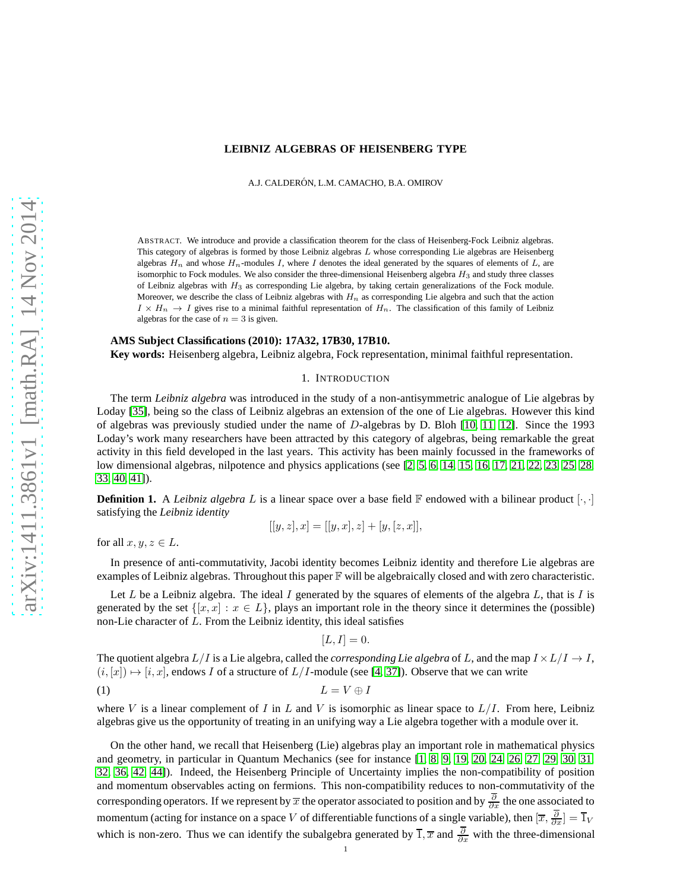# **LEIBNIZ ALGEBRAS OF HEISENBERG TYPE**

A.J. CALDERÓN, L.M. CAMACHO, B.A. OMIROV

ABSTRACT. We introduce and provide a classification theorem for the class of Heisenberg-Fock Leibniz algebras. This category of algebras is formed by those Leibniz algebras  $L$  whose corresponding Lie algebras are Heisenberg algebras  $H_n$  and whose  $H_n$ -modules I, where I denotes the ideal generated by the squares of elements of L, are isomorphic to Fock modules. We also consider the three-dimensional Heisenberg algebra  $H_3$  and study three classes of Leibniz algebras with  $H_3$  as corresponding Lie algebra, by taking certain generalizations of the Fock module. Moreover, we describe the class of Leibniz algebras with  $H_n$  as corresponding Lie algebra and such that the action  $I \times H_n \to I$  gives rise to a minimal faithful representation of  $H_n$ . The classification of this family of Leibniz algebras for the case of  $n = 3$  is given.

## **AMS Subject Classifications (2010): 17A32, 17B30, 17B10.**

**Key words:** Heisenberg algebra, Leibniz algebra, Fock representation, minimal faithful representation.

### 1. INTRODUCTION

The term *Leibniz algebra* was introduced in the study of a non-antisymmetric analogue of Lie algebras by Loday [\[35\]](#page-13-0), being so the class of Leibniz algebras an extension of the one of Lie algebras. However this kind of algebras was previously studied under the name of D-algebras by D. Bloh [\[10,](#page-12-0) [11,](#page-12-1) [12\]](#page-12-2). Since the 1993 Loday's work many researchers have been attracted by this category of algebras, being remarkable the great activity in this field developed in the last years. This activity has been mainly focussed in the frameworks of low dimensional algebras, nilpotence and physics applications (see [\[2,](#page-12-3) [5,](#page-12-4) [6,](#page-12-5) [14,](#page-12-6) [15,](#page-12-7) [16,](#page-12-8) [17,](#page-12-9) [21,](#page-12-10) [22,](#page-12-11) [23,](#page-13-1) [25,](#page-13-2) [28,](#page-13-3) [33,](#page-13-4) [40,](#page-13-5) [41\]](#page-13-6)).

**Definition 1.** A *Leibniz algebra* L is a linear space over a base field  $\mathbb{F}$  endowed with a bilinear product  $[\cdot, \cdot]$ satisfying the *Leibniz identity*

$$
[[y, z], x] = [[y, x], z] + [y, [z, x]],
$$

for all  $x, y, z \in L$ .

In presence of anti-commutativity, Jacobi identity becomes Leibniz identity and therefore Lie algebras are examples of Leibniz algebras. Throughout this paper F will be algebraically closed and with zero characteristic.

Let L be a Leibniz algebra. The ideal I generated by the squares of elements of the algebra  $L$ , that is I is generated by the set  $\{[x, x] : x \in L\}$ , plays an important role in the theory since it determines the (possible) non-Lie character of  $L$ . From the Leibniz identity, this ideal satisfies

<span id="page-0-0"></span>
$$
[L, I] = 0.
$$

The quotient algebra  $L/I$  is a Lie algebra, called the *corresponding Lie algebra* of L, and the map  $I \times L/I \rightarrow I$ ,  $(i, [x]) \mapsto [i, x]$ , endows I of a structure of  $L/I$ -module (see [\[4,](#page-12-12) [37\]](#page-13-7)). Observe that we can write

$$
(1) \tL = V \oplus I
$$

where V is a linear complement of I in L and V is isomorphic as linear space to  $L/I$ . From here, Leibniz algebras give us the opportunity of treating in an unifying way a Lie algebra together with a module over it.

On the other hand, we recall that Heisenberg (Lie) algebras play an important role in mathematical physics and geometry, in particular in Quantum Mechanics (see for instance [\[1,](#page-12-13) [8,](#page-12-14) [9,](#page-12-15) [19,](#page-12-16) [20,](#page-12-17) [24,](#page-13-8) [26,](#page-13-9) [27,](#page-13-10) [29,](#page-13-11) [30,](#page-13-12) [31,](#page-13-13) [32,](#page-13-14) [36,](#page-13-15) [42,](#page-13-16) [44\]](#page-13-17)). Indeed, the Heisenberg Principle of Uncertainty implies the non-compatibility of position and momentum observables acting on fermions. This non-compatibility reduces to non-commutativity of the corresponding operators. If we represent by  $\overline{x}$  the operator associated to position and by  $\frac{\partial}{\partial x}$  the one associated to momentum (acting for instance on a space V of differentiable functions of a single variable), then  $[\overline{x}, \frac{\partial}{\partial x}] = \overline{1}_V$ which is non-zero. Thus we can identify the subalgebra generated by  $\overline{1}, \overline{x}$  and  $\frac{\partial}{\partial x}$  with the three-dimensional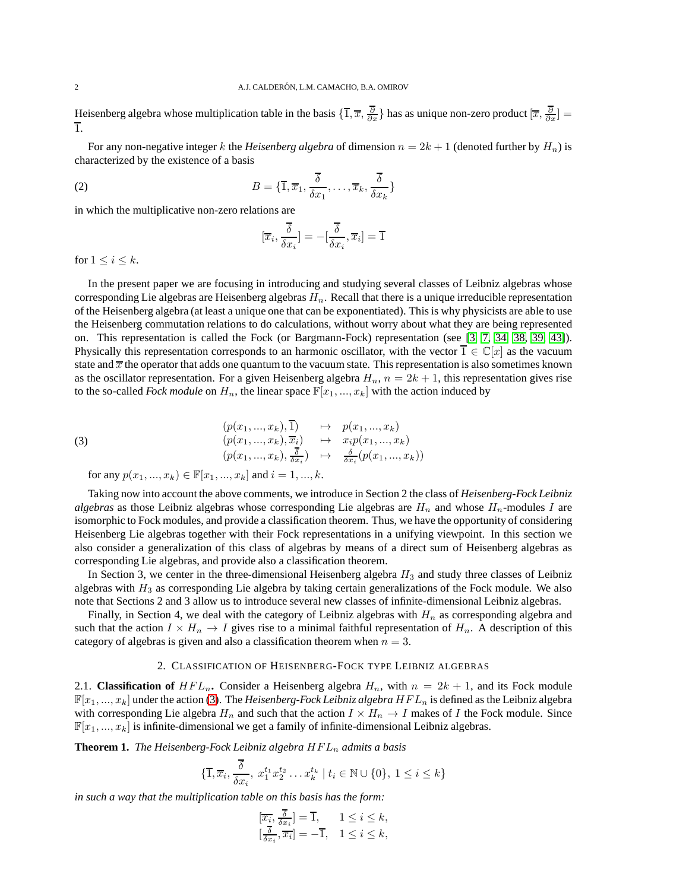Heisenberg algebra whose multiplication table in the basis  $\{\overline{1}, \overline{x}, \frac{\partial}{\partial x}\}$  has as unique non-zero product  $[\overline{x}, \frac{\partial}{\partial x}]$ 1.

For any non-negative integer k the *Heisenberg algebra* of dimension  $n = 2k + 1$  (denoted further by  $H_n$ ) is characterized by the existence of a basis

(2) 
$$
B = \{\overline{1}, \overline{x}_1, \frac{\overline{\delta}}{\delta x_1}, \dots, \overline{x}_k, \frac{\overline{\delta}}{\delta x_k}\}
$$

in which the multiplicative non-zero relations are

<span id="page-1-2"></span>
$$
[\overline{x}_i, \frac{\overline{\delta}}{\delta x_i}] = -[\frac{\overline{\delta}}{\delta x_i}, \overline{x}_i] = \overline{1}
$$

for  $1 \leq i \leq k$ .

In the present paper we are focusing in introducing and studying several classes of Leibniz algebras whose corresponding Lie algebras are Heisenberg algebras  $H_n$ . Recall that there is a unique irreducible representation of the Heisenberg algebra (at least a unique one that can be exponentiated). This is why physicists are able to use the Heisenberg commutation relations to do calculations, without worry about what they are being represented on. This representation is called the Fock (or Bargmann-Fock) representation (see [\[3,](#page-12-18) [7,](#page-12-19) [34,](#page-13-18) [38,](#page-13-19) [39,](#page-13-20) [43\]](#page-13-21)). Physically this representation corresponds to an harmonic oscillator, with the vector  $\overline{1} \in \mathbb{C}[x]$  as the vacuum state and  $\bar{x}$  the operator that adds one quantum to the vacuum state. This representation is also sometimes known as the oscillator representation. For a given Heisenberg algebra  $H_n$ ,  $n = 2k + 1$ , this representation gives rise to the so-called *Fock module* on  $H_n$ , the linear space  $\mathbb{F}[x_1, ..., x_k]$  with the action induced by

(3) 
$$
\begin{array}{rcl}\n(p(x_1,...,x_k), \overline{1}) & \mapsto & p(x_1,...,x_k) \\
(p(x_1,...,x_k), \overline{x_i}) & \mapsto & x_i p(x_1,...,x_k) \\
(p(x_1,...,x_k), \frac{\overline{\delta}}{\delta x_i}) & \mapsto & \frac{\delta}{\delta x_i}(p(x_1,...,x_k))\n\end{array}
$$

<span id="page-1-0"></span>for any  $p(x_1, ..., x_k) \in \mathbb{F}[x_1, ..., x_k]$  and  $i = 1, ..., k$ .

Taking now into account the above comments, we introduce in Section 2 the class of *Heisenberg-Fock Leibniz algebras* as those Leibniz algebras whose corresponding Lie algebras are  $H_n$  and whose  $H_n$ -modules I are isomorphic to Fock modules, and provide a classification theorem. Thus, we have the opportunity of considering Heisenberg Lie algebras together with their Fock representations in a unifying viewpoint. In this section we also consider a generalization of this class of algebras by means of a direct sum of Heisenberg algebras as corresponding Lie algebras, and provide also a classification theorem.

In Section 3, we center in the three-dimensional Heisenberg algebra  $H_3$  and study three classes of Leibniz algebras with  $H_3$  as corresponding Lie algebra by taking certain generalizations of the Fock module. We also note that Sections 2 and 3 allow us to introduce several new classes of infinite-dimensional Leibniz algebras.

Finally, in Section 4, we deal with the category of Leibniz algebras with  $H_n$  as corresponding algebra and such that the action  $I \times H_n \to I$  gives rise to a minimal faithful representation of  $H_n$ . A description of this category of algebras is given and also a classification theorem when  $n = 3$ .

#### 2. CLASSIFICATION OF HEISENBERG-FOCK TYPE LEIBNIZ ALGEBRAS

2.1. **Classification of**  $HFL_n$ . Consider a Heisenberg algebra  $H_n$ , with  $n = 2k + 1$ , and its Fock module  $\mathbb{F}[x_1, ..., x_k]$  under the action [\(3\)](#page-1-0). The *Heisenberg-Fock Leibniz algebra*  $HFL_n$  is defined as the Leibniz algebra with corresponding Lie algebra  $H_n$  and such that the action  $I \times H_n \to I$  makes of I the Fock module. Since  $\mathbb{F}[x_1, ..., x_k]$  is infinite-dimensional we get a family of infinite-dimensional Leibniz algebras.

<span id="page-1-1"></span>**Theorem 1.** *The Heisenberg-Fock Leibniz algebra*  $HFL_n$  *admits a basis* 

$$
\{\overline{1}, \overline{x}_i, \frac{\overline{\delta}}{\delta x_i}, x_1^{t_1} x_2^{t_2} \dots x_k^{t_k} \mid t_i \in \mathbb{N} \cup \{0\}, 1 \le i \le k\}
$$

*in such a way that the multiplication table on this basis has the form:*

$$
\overline{[x_i, \frac{\delta}{\delta x_i}]} = \overline{1}, \quad 1 \le i \le k,
$$
  

$$
[\frac{\overline{\delta}}{\delta x_i}, \overline{x_i}] = -\overline{1}, \quad 1 \le i \le k,
$$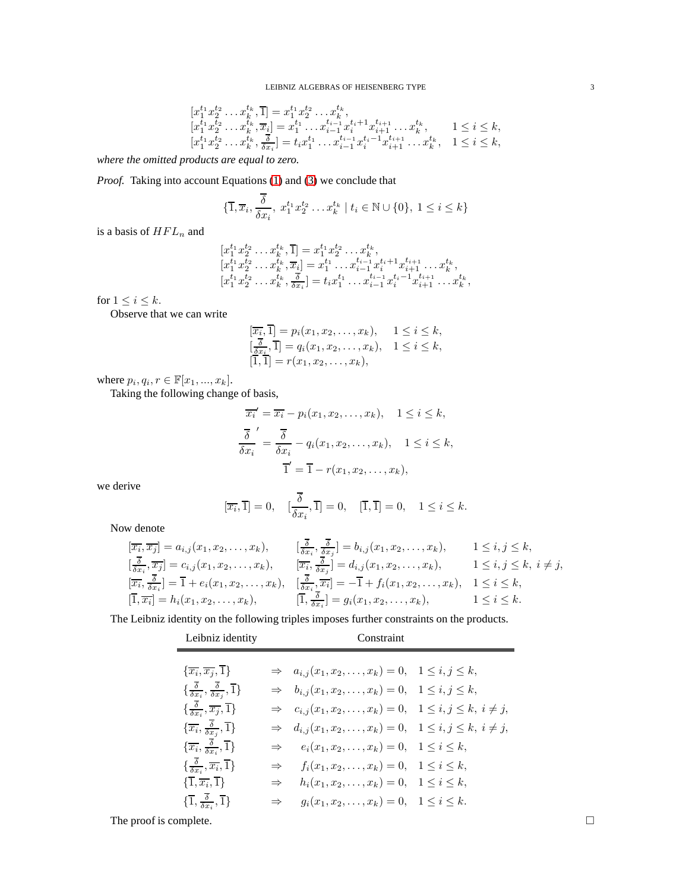$$
\begin{array}{l}[x_{1}^{t_{1}}x_{2}^{t_{2}}\ldots x_{k}^{t_{k}},\overline{1}] = x_{1}^{t_{1}}x_{2}^{t_{2}}\ldots x_{k}^{t_{k}},\\ [x_{1}^{t_{1}}x_{2}^{t_{2}}\ldots x_{k}^{t_{k}},\overline{x_{i}}] = x_{1}^{t_{1}}\ldots x_{i-1}^{t_{i-1}}x_{i}^{t_{i}+1}x_{i+1}^{t_{i+1}}\ldots x_{k}^{t_{k}},\qquad 1\leq i\leq k,\\ [x_{1}^{t_{1}}x_{2}^{t_{2}}\ldots x_{k}^{t_{k}},\frac{\overline{\delta}}{\delta x_{i}}] = t_{i}x_{1}^{t_{1}}\ldots x_{i-1}^{t_{i-1}}x_{i}^{t_{i}-1}x_{i+1}^{t_{i+1}}\ldots x_{k}^{t_{k}},\quad 1\leq i\leq k,\end{array}
$$

*where the omitted products are equal to zero.*

*Proof.* Taking into account Equations [\(1\)](#page-0-0) and [\(3\)](#page-1-0) we conclude that

$$
\{\overline{1}, \overline{x}_i, \frac{\overline{\delta}}{\delta x_i}, x_1^{t_1} x_2^{t_2} \dots x_k^{t_k} \mid t_i \in \mathbb{N} \cup \{0\}, 1 \le i \le k\}
$$

is a basis of  $HFL_n$  and

$$
\begin{array}{l}[x_1^{t_1}x_2^{t_2}\ldots x_k^{t_k},\overline{1}] = x_1^{t_1}x_2^{t_2}\ldots x_k^{t_k},[x_1^{t_1}x_2^{t_2}\ldots x_k^{t_k},\overline{x_i}] = x_1^{t_1}\ldots x_{i-1}^{t_{i-1}}x_i^{t_i+1}x_{i+1}^{t_{i+1}}\ldots x_k^{t_k},[x_1^{t_1}x_2^{t_2}\ldots x_k^{t_k},\frac{\overline{\delta}}{\delta x_i}] = t_ix_1^{t_1}\ldots x_{i-1}^{t_{i-1}}x_i^{t_i-1}x_{i+1}^{t_{i+1}}\ldots x_k^{t_k},\end{array}
$$

for  $1 \leq i \leq k$ .

Observe that we can write

$$
\begin{array}{ll}\n[\overline{x_i}, \overline{1}] = p_i(x_1, x_2, \dots, x_k), & 1 \leq i \leq k, \\
[\frac{\overline{\delta}}{\delta x_i}, \overline{1}] = q_i(x_1, x_2, \dots, x_k), & 1 \leq i \leq k, \\
[\overline{1}, \overline{1}] = r(x_1, x_2, \dots, x_k),\n\end{array}
$$

where  $p_i, q_i, r \in \mathbb{F}[x_1, ..., x_k]$ .

Taking the following change of basis,

$$
\overline{x_i}' = \overline{x_i} - p_i(x_1, x_2, \dots, x_k), \quad 1 \le i \le k,
$$
  

$$
\frac{\overline{\delta}}{\delta x_i} = \frac{\overline{\delta}}{\delta x_i} - q_i(x_1, x_2, \dots, x_k), \quad 1 \le i \le k,
$$
  

$$
\overline{1}' = \overline{1} - r(x_1, x_2, \dots, x_k),
$$

we derive

$$
[\overline{x_i}, \overline{1}] = 0, \quad [\frac{\overline{\delta}}{\delta x_i}, \overline{1}] = 0, \quad [\overline{1}, \overline{1}] = 0, \quad 1 \le i \le k.
$$

Now denote

$$
[\overline{x_i}, \overline{x_j}] = a_{i,j}(x_1, x_2, \dots, x_k), \qquad [\frac{\overline{\delta}}{\delta x_i}, \frac{\overline{\delta}}{\delta x_j}] = b_{i,j}(x_1, x_2, \dots, x_k), \qquad 1 \le i, j \le k, [\frac{\overline{\delta}}{\delta x_i}, \overline{x_j}] = c_{i,j}(x_1, x_2, \dots, x_k), \qquad [\overline{x_i}, \frac{\overline{\delta}}{\delta x_j}] = d_{i,j}(x_1, x_2, \dots, x_k), \qquad 1 \le i, j \le k, i \ne j, [\overline{x_i}, \frac{\overline{\delta}}{\delta x_i}] = \overline{1} + e_i(x_1, x_2, \dots, x_k), \qquad [\frac{\overline{\delta}}{\delta x_i}, \frac{\overline{\delta}}{\delta x_i}] = -\overline{1} + f_i(x_1, x_2, \dots, x_k), \qquad 1 \le i \le k, [\overline{1}, \overline{x_i}] = h_i(x_1, x_2, \dots, x_k), \qquad [\overline{1}, \frac{\overline{\delta}}{\delta x_i}] = g_i(x_1, x_2, \dots, x_k), \qquad 1 \le i \le k.
$$

The Leibniz identity on the following triples imposes further constraints on the products.

| Leibniz identity                                                                               | Constraint    |                                                                                   |  |
|------------------------------------------------------------------------------------------------|---------------|-----------------------------------------------------------------------------------|--|
|                                                                                                |               |                                                                                   |  |
| $\{\overline{x_i}, \overline{x_j}, \overline{1}\}\$                                            |               | $\Rightarrow a_{i,j}(x_1, x_2, \ldots, x_k) = 0, \quad 1 \leq i, j \leq k,$       |  |
| $\{\frac{\overline{\delta}}{\delta x_i}, \frac{\overline{\delta}}{\delta x_i}, \overline{1}\}$ |               | $\Rightarrow b_{i,j}(x_1, x_2, \ldots, x_k) = 0, \quad 1 \leq i, j \leq k,$       |  |
| $\{\frac{\overline{\delta}}{\delta x_i}, \overline{x_j}, \overline{1}\}$                       |               | $\Rightarrow c_{i,j}(x_1, x_2, \dots, x_k) = 0, \quad 1 \le i, j \le k, i \ne j,$ |  |
| $\{\overline{x_i}, \frac{\overline{\delta}}{\delta x_i}, \overline{1}\}$                       |               | $\Rightarrow d_{i,j}(x_1, x_2, \dots, x_k) = 0, \quad 1 \le i, j \le k, i \ne j,$ |  |
| $\{\overline{x_i}, \frac{\overline{\delta}}{\delta x_i}, \overline{1}\}$                       |               | $\Rightarrow$ $e_i(x_1, x_2, \dots, x_k) = 0, \quad 1 \leq i \leq k,$             |  |
| $\{\frac{\overline{\delta}}{\delta x_i}, \overline{x_i}, \overline{1}\}$                       |               | $\Rightarrow$ $f_i(x_1, x_2, \dots, x_k) = 0, \quad 1 \leq i \leq k,$             |  |
| $\{\overline{1}, \overline{x_i}, \overline{1}\}$                                               | $\Rightarrow$ | $h_i(x_1, x_2, \ldots, x_k) = 0, \quad 1 \leq i \leq k,$                          |  |
| $\{\overline{1}, \frac{\overline{\delta}}{\delta x_i}, \overline{1}\}$                         | $\Rightarrow$ | $g_i(x_1, x_2, \ldots, x_k) = 0, \quad 1 \leq i \leq k.$                          |  |

The proof is complete.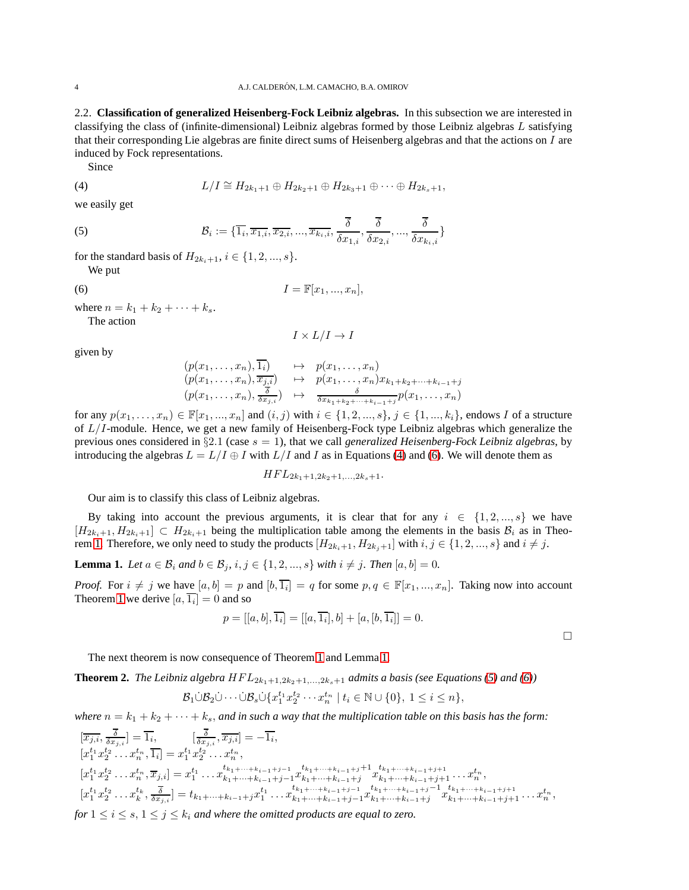2.2. **Classification of generalized Heisenberg-Fock Leibniz algebras.** In this subsection we are interested in classifying the class of (infinite-dimensional) Leibniz algebras formed by those Leibniz algebras L satisfying that their corresponding Lie algebras are finite direct sums of Heisenberg algebras and that the actions on  $I$  are induced by Fock representations.

<span id="page-3-0"></span>Since

(4) 
$$
L/I \cong H_{2k_1+1} \oplus H_{2k_2+1} \oplus H_{2k_3+1} \oplus \cdots \oplus H_{2k_s+1},
$$

we easily get

(5) 
$$
\mathcal{B}_i := \{\overline{1_i}, \overline{x_{1,i}}, \overline{x_{2,i}}, ..., \overline{x_{k_i,i}}, \frac{\overline{\delta}}{\delta x_{1,i}}, \frac{\overline{\delta}}{\delta x_{2,i}}, ..., \frac{\overline{\delta}}{\delta x_{k_i,i}}\}
$$

for the standard basis of  $H_{2k_1+1}, i \in \{1, 2, ..., s\}.$ 

<span id="page-3-3"></span>We put

$$
(6) \tI = \mathbb{F}[x_1, ..., x_n],
$$

where  $n = k_1 + k_2 + \cdots + k_s$ . The action

<span id="page-3-1"></span>
$$
I\times L/I\to I
$$

given by

$$
(p(x_1,...,x_n),\overline{1_i}) \rightarrow p(x_1,...,x_n)
$$
  
\n
$$
(p(x_1,...,x_n),\overline{x_{j,i}}) \rightarrow p(x_1,...,x_n)x_{k_1+k_2+\cdots+k_{i-1}+j}
$$
  
\n
$$
(p(x_1,...,x_n),\overline{\frac{\delta}{\delta x_{j,i}}}) \rightarrow \overline{\frac{\delta}{\delta x_{k_1+k_2+\cdots+k_{i-1}+j}}p(x_1,...,x_n)}
$$

for any  $p(x_1, ..., x_n) \in \mathbb{F}[x_1, ..., x_n]$  and  $(i, j)$  with  $i \in \{1, 2, ..., s\}, j \in \{1, ..., k_i\}$ , endows I of a structure of  $L/I$ -module. Hence, we get a new family of Heisenberg-Fock type Leibniz algebras which generalize the previous ones considered in §2.1 (case s = 1), that we call *generalized Heisenberg-Fock Leibniz algebras*, by introducing the algebras  $L = L/I \oplus I$  with  $L/I$  and I as in Equations [\(4\)](#page-3-0) and [\(6\)](#page-3-1). We will denote them as

$$
HFL_{2k_1+1,2k_2+1,\ldots,2k_s+1}.
$$

Our aim is to classify this class of Leibniz algebras.

By taking into account the previous arguments, it is clear that for any  $i \in \{1, 2, ..., s\}$  we have  $[H_{2k_i+1}, H_{2k_i+1}] \subset H_{2k_i+1}$  being the multiplication table among the elements in the basis  $B_i$  as in Theo-rem [1.](#page-1-1) Therefore, we only need to study the products  $[H_{2k_i+1}, H_{2k_i+1}]$  with  $i, j \in \{1, 2, ..., s\}$  and  $i \neq j$ .

<span id="page-3-2"></span>**Lemma 1.** *Let*  $a \in B_i$  *and*  $b \in B_j$ *,*  $i, j \in \{1, 2, ..., s\}$  *with*  $i \neq j$ *. Then*  $[a, b] = 0$ *.* 

*Proof.* For  $i \neq j$  we have  $[a, b] = p$  and  $[b, \overline{1_i}] = q$  for some  $p, q \in \mathbb{F}[x_1, ..., x_n]$ . Taking now into account Theorem [1](#page-1-1) we derive  $[a, \overline{1_i}] = 0$  and so

$$
p = [[a, b], \overline{1_i}] = [[a, \overline{1_i}], b] + [a, [b, \overline{1_i}]] = 0.
$$

 $\Box$ 

The next theorem is now consequence of Theorem [1](#page-1-1) and Lemma [1.](#page-3-2)

**Theorem 2.** *The Leibniz algebra*  $HFL_{2k_1+1,2k_2+1,\ldots,2k_s+1}$  *admits a basis (see Equations* [\(5\)](#page-3-3) *and* [\(6\)](#page-3-1))

$$
\mathcal{B}_1 \dot{\cup} \mathcal{B}_2 \dot{\cup} \cdots \dot{\cup} \mathcal{B}_s \dot{\cup} \{x_1^{t_1} x_2^{t_2} \cdots x_n^{t_n} \mid t_i \in \mathbb{N} \cup \{0\}, 1 \le i \le n\},\
$$

*where*  $n = k_1 + k_2 + \cdots + k_s$ , *and in such a way that the multiplication table on this basis has the form:* 

$$
\begin{aligned}\n\left[\overline{x}_{j,i}, \frac{\overline{\delta}}{\delta x_{j,i}}\right] &= \overline{1_i}, & \left[\frac{\overline{\delta}}{\delta x_{j,i}}, \overline{x}_{j,i}\right] &= -\overline{1_i}, \\
\left[x_1^{t_1} x_2^{t_2} \dots x_n^{t_n}, \overline{1_i}\right] &= x_1^{t_1} x_2^{t_2} \dots x_n^{t_n}, \\
\left[x_1^{t_1} x_2^{t_2} \dots x_n^{t_n}, \overline{x}_{j,i}\right] &= x_1^{t_1} \dots x_{k_1 + \dots + k_{i-1} + j-1}^{t_{k_1 + \dots + k_{i-1} + j+1}} x_{k_1 + \dots + k_{i-1} + j+1}^{t_{k_1 + \dots + k_{i-1} + j+1}} \dots x_n^{t_n}, \\
\left[x_1^{t_1} x_2^{t_2} \dots x_k^{t_k}, \frac{\overline{\delta}}{\delta x_{j,i}}\right] &= t_{k_1 + \dots + k_{i-1} + j} x_1^{t_1} \dots x_{k_1 + \dots + k_{i-1} + j-1}^{t_{k_1 + \dots + k_{i-1} + j+1}} \dots x_{k_1 + \dots + k_{i-1} + j+1}^{t_{k_1 + \dots + k_{i-1} + j+1}} \dots x_n^{t_n},\n\end{aligned}
$$

*for*  $1 \le i \le s$ ,  $1 \le j \le k_i$  *and where the omitted products are equal to zero.*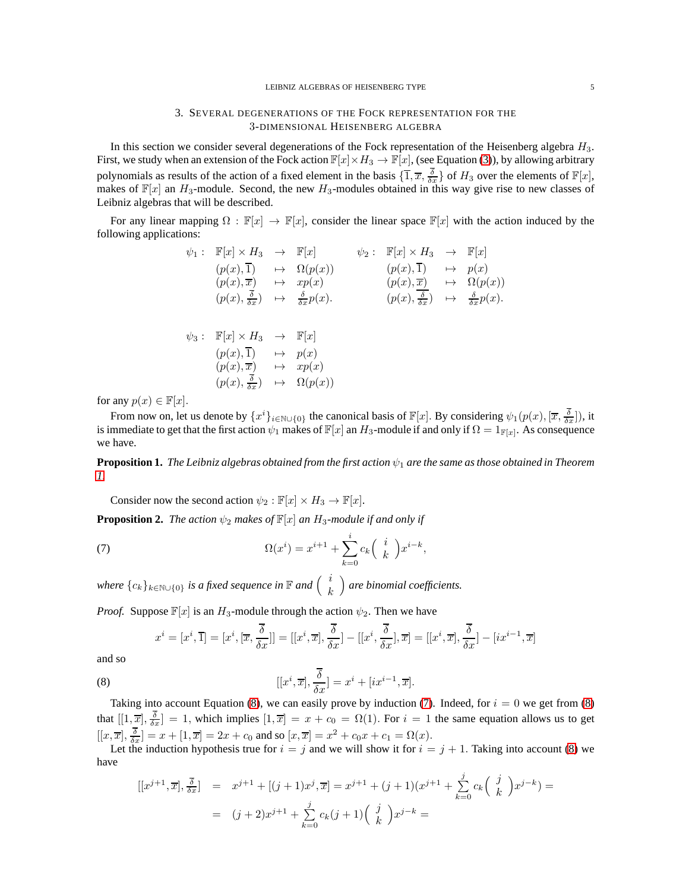#### 3. SEVERAL DEGENERATIONS OF THE FOCK REPRESENTATION FOR THE 3-DIMENSIONAL HEISENBERG ALGEBRA

In this section we consider several degenerations of the Fock representation of the Heisenberg algebra  $H_3$ . First, we study when an extension of the Fock action  $\mathbb{F}[x]\times H_3 \to \mathbb{F}[x]$ , (see Equation [\(3\)](#page-1-0)), by allowing arbitrary polynomials as results of the action of a fixed element in the basis  $\{\overline{1}, \overline{x}, \frac{\delta}{\delta x}\}$  of  $H_3$  over the elements of  $\mathbb{F}[x]$ , makes of  $\mathbb{F}[x]$  an  $H_3$ -module. Second, the new  $H_3$ -modules obtained in this way give rise to new classes of Leibniz algebras that will be described.

For any linear mapping  $\Omega : \mathbb{F}[x] \to \mathbb{F}[x]$ , consider the linear space  $\mathbb{F}[x]$  with the action induced by the following applications:

$$
\psi_1: \mathbb{F}[x] \times H_3 \to \mathbb{F}[x] \qquad \psi_2: \mathbb{F}[x] \times H_3 \to \mathbb{F}[x] \n(p(x), \overline{1}) \mapsto \Omega(p(x)) \qquad (p(x), \overline{1}) \mapsto p(x) \n(p(x), \overline{x}) \mapsto xp(x) \qquad (p(x), \overline{x}) \mapsto \Omega(p(x)) \n(p(x), \frac{\overline{\delta}}{\delta x}) \mapsto \frac{\delta}{\delta x}p(x). \qquad (p(x), \frac{\delta}{\delta x}) \mapsto \frac{\delta}{\delta x}p(x).
$$
\n
$$
\psi_3: \mathbb{F}[x] \times H_3 \to \mathbb{F}[x] \n(p(x), \overline{1}) \mapsto p(x) \n(p(x), \overline{x}) \mapsto xp(x) \n(p(x), \frac{\overline{\delta}}{\delta x}) \mapsto \Omega(p(x))
$$

for any  $p(x) \in \mathbb{F}[x]$ .

From now on, let us denote by  $\{x^i\}_{i\in\mathbb{N}\cup\{0\}}$  the canonical basis of  $\mathbb{F}[x]$ . By considering  $\psi_1(p(x), [\overline{x}, \frac{\delta}{\delta x}])$ , it is immediate to get that the first action  $\psi_1$  makes of  $\mathbb{F}[x]$  an  $H_3$ -module if and only if  $\Omega = 1_{\mathbb{F}[x]}$ . As consequence we have.

**Proposition 1.** *The Leibniz algebras obtained from the first action* ψ<sup>1</sup> *are the same as those obtained in Theorem [1.](#page-1-1)*

,

Consider now the second action  $\psi_2 : \mathbb{F}[x] \times H_3 \to \mathbb{F}[x]$ .

<span id="page-4-2"></span>**Proposition 2.** *The action*  $\psi_2$  *makes of*  $\mathbb{F}[x]$  *an*  $H_3$ *-module if and only if* 

(7) 
$$
\Omega(x^i) = x^{i+1} + \sum_{k=0}^i c_k \begin{pmatrix} i \\ k \end{pmatrix} x^{i-k}
$$

where  $\{c_k\}_{k\in\mathbb{N}\cup\{0\}}$  is a fixed sequence in  $\mathbb F$  and  $\Big(\begin{array}{c}i\ k\end{array}$ k *are binomial coefficients.*

*Proof.* Suppose  $\mathbb{F}[x]$  is an  $H_3$ -module through the action  $\psi_2$ . Then we have

<span id="page-4-1"></span><span id="page-4-0"></span>
$$
x^{i} = [x^{i}, \overline{1}] = [x^{i}, [\overline{x}, \frac{\overline{\delta}}{\delta x}]] = [[x^{i}, \overline{x}], \frac{\overline{\delta}}{\delta x}] - [[x^{i}, \frac{\overline{\delta}}{\delta x}], \overline{x}] = [[x^{i}, \overline{x}], \frac{\overline{\delta}}{\delta x}] - [ix^{i-1}, \overline{x}]
$$

and so

(8) 
$$
[[x^i,\overline{x}],\frac{\overline{\delta}}{\delta x}] = x^i + [ix^{i-1},\overline{x}].
$$

Taking into account Equation [\(8\)](#page-4-0), we can easily prove by induction [\(7\)](#page-4-1). Indeed, for  $i = 0$  we get from (8) that  $[[1, \overline{x}], \overline{\delta}_x] = 1$ , which implies  $[1, \overline{x}] = x + c_0 = \Omega(1)$ . For  $i = 1$  the same equation allows us to get  $[[x,\overline{x}], \frac{\delta}{\delta x}] = x + [1,\overline{x}] = 2x + c_0$  and so  $[x,\overline{x}] = x^2 + c_0x + c_1 = \Omega(x)$ .

Let the induction hypothesis true for  $i = j$  and we will show it for  $i = j + 1$ . Taking into account [\(8\)](#page-4-0) we have

$$
[[x^{j+1}, \overline{x}], \frac{\overline{\delta}}{\delta x}] = x^{j+1} + [(j+1)x^j, \overline{x}] = x^{j+1} + (j+1)(x^{j+1} + \sum_{k=0}^j c_k \binom{j}{k} x^{j-k}) =
$$
  

$$
= (j+2)x^{j+1} + \sum_{k=0}^j c_k (j+1) \binom{j}{k} x^{j-k} =
$$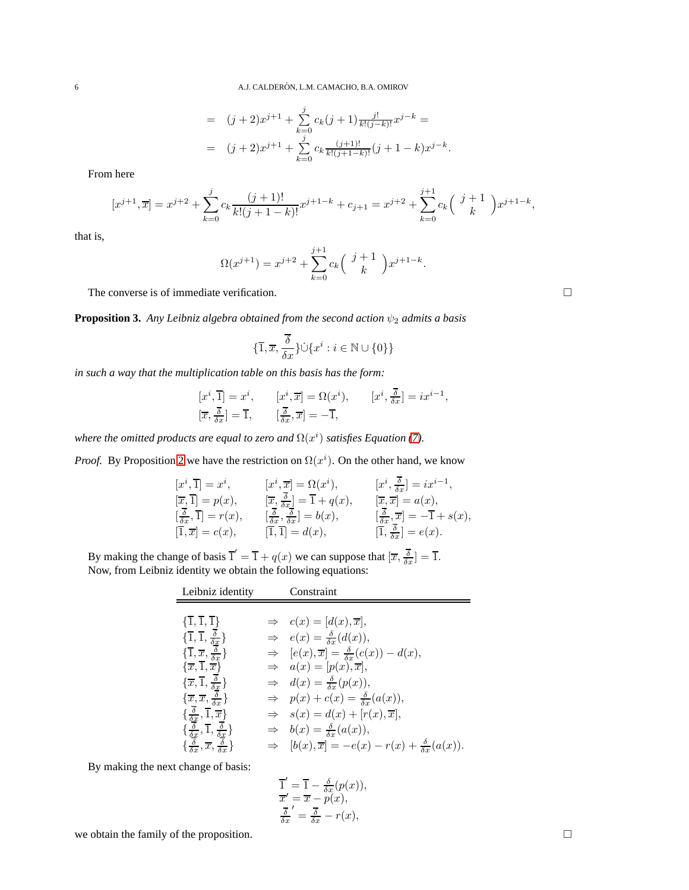$$
= (j+2)x^{j+1} + \sum_{k=0}^{j} c_k (j+1) \frac{j!}{k!(j-k)!} x^{j-k} =
$$
  

$$
= (j+2)x^{j+1} + \sum_{k=0}^{j} c_k \frac{(j+1)!}{k!(j+1-k)!} (j+1-k)x^{j-k}.
$$

From here

$$
[x^{j+1}, \overline{x}] = x^{j+2} + \sum_{k=0}^{j} c_k \frac{(j+1)!}{k!(j+1-k)!} x^{j+1-k} + c_{j+1} = x^{j+2} + \sum_{k=0}^{j+1} c_k \binom{j+1}{k} x^{j+1-k},
$$

that is,

$$
\Omega(x^{j+1}) = x^{j+2} + \sum_{k=0}^{j+1} c_k \binom{j+1}{k} x^{j+1-k}.
$$

The converse is of immediate verification.

<span id="page-5-0"></span>**Proposition 3.** *Any Leibniz algebra obtained from the second action*  $\psi_2$  *admits a basis* 

$$
\{\overline{1}, \overline{x}, \frac{\overline{\delta}}{\delta x}\} \cup \{x^i : i \in \mathbb{N} \cup \{0\}\}\
$$

*in such a way that the multiplication table on this basis has the form:*

$$
\label{eq:2.1} \begin{aligned} {}[x^i,\overline{1}] &= x^i, && [x^i,\overline{x}] = \Omega(x^i), && [x^i,\frac{\overline{\delta}}{\delta x}] = i x^{i-1},\\ [\overline{x},\frac{\overline{\delta}}{\delta x}] &= \overline{1}, && [\frac{\overline{\delta}}{\delta x},\overline{x}] = -\overline{1}, \end{aligned}
$$

where the omitted products are equal to zero and  $\Omega(x^i)$  satisfies Equation [\(7\)](#page-4-1).

*Proof.* By Proposition [2](#page-4-2) we have the restriction on  $\Omega(x^{i})$ . On the other hand, we know

$$
[x^i, \overline{1}] = x^i, \t [x^i, \overline{x}] = \Omega(x^i), \t [x^i, \frac{\delta}{\delta x}] = ix^{i-1},
$$
  
\n
$$
[\overline{x}, \overline{1}] = p(x), \t [\overline{x}, \frac{\overline{\delta}}{\delta x}] = \overline{1} + q(x), \t [\overline{x}, \overline{x}] = a(x),
$$
  
\n
$$
[\frac{\overline{\delta}}{\delta x}, \overline{1}] = r(x), \t [\frac{\overline{\delta}}{\delta x}, \frac{\delta}{\delta x}] = b(x), \t [\frac{\overline{\delta}}{\delta x}, \overline{x}] = -\overline{1} + s(x),
$$
  
\n
$$
[\overline{1}, \overline{x}] = c(x), \t [\overline{1}, \overline{1}] = d(x), \t [\overline{1}, \frac{\overline{\delta}}{\delta x}] = e(x).
$$

By making the change of basis  $\overline{1}' = \overline{1} + q(x)$  we can suppose that  $[\overline{x}, \overline{\delta_x}] = \overline{1}$ . Now, from Leibniz identity we obtain the following equations:

| Leibniz identity                                                                                                                                                          | Constraint                                                                           |
|---------------------------------------------------------------------------------------------------------------------------------------------------------------------------|--------------------------------------------------------------------------------------|
|                                                                                                                                                                           |                                                                                      |
| $\{\overline{1},\overline{1},\overline{1}\}\$                                                                                                                             | $\Rightarrow$ $c(x) = [d(x), \overline{x}],$                                         |
| $\{\overline{1},\overline{1},\frac{\overline{\delta}}{\delta x}\}$                                                                                                        | $\Rightarrow e(x) = \frac{\delta}{\delta x}(d(x)),$                                  |
| $\{\overline{1}, \overline{x}, \frac{\overline{\delta}}{\overline{\delta}x}\}$                                                                                            | $\Rightarrow$ $[e(x), \overline{x}] = \frac{\delta}{\delta x}(c(x)) - d(x),$         |
| $\{\overline{x}, \overline{1}, \overline{x}\}$                                                                                                                            | $\Rightarrow a(x) = [p(x), \overline{x}],$                                           |
| $\{\overline{x}, \overline{1}, \frac{\overline{\delta}}{\delta x}\}$                                                                                                      | $\Rightarrow d(x) = \frac{\delta}{\delta x}(p(x)),$                                  |
| $\{\overline{x}, \overline{x}, \overline{\frac{\delta}{\delta x}}\}$                                                                                                      | $\Rightarrow p(x) + c(x) = \frac{\delta}{\delta x}(a(x)),$                           |
| $\{\frac{\overline{\delta}}{\delta x}, \overline{1}, \overline{x}\}$                                                                                                      | $\Rightarrow$ $s(x) = d(x) + [r(x), \overline{x}],$                                  |
| $\{\frac{\overline{\delta}}{\delta x}, \overline{1}, \frac{\overline{\delta}}{\delta x}\}\ \{\frac{\delta}{\delta x}, \overline{x}, \frac{\overline{\delta}}{\delta x}\}$ | $\Rightarrow b(x) = \frac{\delta}{\delta x}(a(x)),$                                  |
|                                                                                                                                                                           | $\Rightarrow$ $[b(x), \overline{x}] = -e(x) - r(x) + \frac{\delta}{\delta x}(a(x)).$ |

By making the next change of basis:

$$
\overline{1}' = \overline{1} - \frac{\delta}{\delta x}(p(x)), \n\overline{x}' = \overline{x} - p(x), \n\frac{\overline{\delta}}{\delta x} = \frac{\overline{\delta}}{\delta x} - r(x),
$$

we obtain the family of the proposition.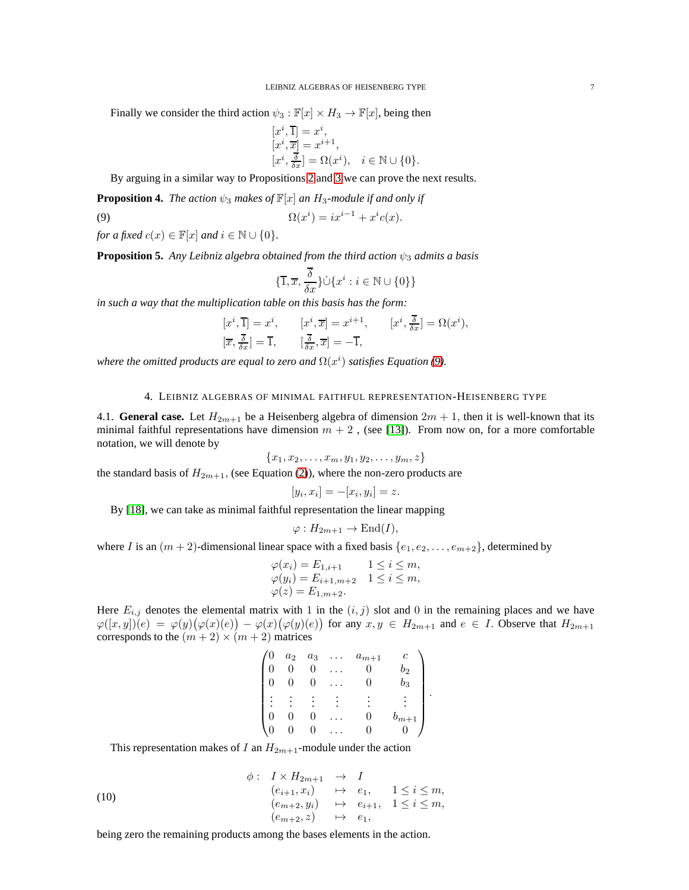Finally we consider the third action  $\psi_3 : \mathbb{F}[x] \times H_3 \to \mathbb{F}[x]$ , being then

$$
\begin{array}{l} \displaystyle [x^i,\overline{1}] = x^i, \\ \displaystyle [x^i,\overline{x}] = x^{i+1}, \\ \displaystyle [x^i,\frac{\overline{\delta}}{\delta x}] = \Omega(x^i), \quad i \in \mathbb{N} \cup \{0\}. \end{array}
$$

By arguing in a similar way to Propositions [2](#page-4-2) and [3](#page-5-0) we can prove the next results.

**Proposition 4.** *The action*  $\psi_3$  *makes of*  $\mathbb{F}[x]$  *an*  $H_3$ *-module if and only if* 

$$
\Omega(x^i) = ix^{i-1} + x^i c(x).
$$

*for a fixed*  $c(x) \in \mathbb{F}[x]$  *and*  $i \in \mathbb{N} \cup \{0\}$ *.* 

**Proposition 5.** *Any Leibniz algebra obtained from the third action*  $\psi_3$  *admits a basis* 

<span id="page-6-0"></span>
$$
\{\overline{1}, \overline{x}, \frac{\overline{\delta}}{\delta x}\}\dot{\cup}\{x^i : i \in \mathbb{N} \cup \{0\}\}\
$$

*in such a way that the multiplication table on this basis has the form:*

$$
[x^i, \overline{1}] = x^i, \qquad [x^i, \overline{x}] = x^{i+1}, \qquad [x^i, \frac{\overline{\delta}}{\delta x}] = \Omega(x^i),
$$
  

$$
[\overline{x}, \frac{\overline{\delta}}{\delta x}] = \overline{1}, \qquad [\frac{\overline{\delta}}{\delta x}, \overline{x}] = -\overline{1},
$$

*where the omitted products are equal to zero and*  $\Omega(x^i)$  *satisfies Equation* [\(9\)](#page-6-0).

#### 4. LEIBNIZ ALGEBRAS OF MINIMAL FAITHFUL REPRESENTATION-HEISENBERG TYPE

4.1. **General case.** Let  $H_{2m+1}$  be a Heisenberg algebra of dimension  $2m + 1$ , then it is well-known that its minimal faithful representations have dimension  $m + 2$ , (see [\[13\]](#page-12-20)). From now on, for a more comfortable notation, we will denote by

$$
\{x_1, x_2, \ldots, x_m, y_1, y_2, \ldots, y_m, z\}
$$

the standard basis of  $H_{2m+1}$ , (see Equation [\(2\)](#page-1-2)), where the non-zero products are

$$
[y_i, x_i] = -[x_i, y_i] = z.
$$

By [\[18\]](#page-12-21), we can take as minimal faithful representation the linear mapping

$$
\varphi: H_{2m+1} \to \text{End}(I),
$$

where I is an  $(m + 2)$ -dimensional linear space with a fixed basis  $\{e_1, e_2, \ldots, e_{m+2}\}\$ , determined by

$$
\varphi(x_i) = E_{1,i+1} \qquad 1 \le i \le m,
$$
  
\n
$$
\varphi(y_i) = E_{i+1,m+2} \qquad 1 \le i \le m,
$$
  
\n
$$
\varphi(z) = E_{1,m+2}.
$$

Here  $E_{i,j}$  denotes the elemental matrix with 1 in the  $(i, j)$  slot and 0 in the remaining places and we have  $\varphi([x,y])(e) = \varphi(y)(\varphi(x)(e)) - \varphi(x)(\varphi(y)(e))$  for any  $x, y \in H_{2m+1}$  and  $e \in I$ . Observe that  $H_{2m+1}$ corresponds to the  $(m + 2) \times (m + 2)$  matrices

| 0 | $a_2$ | $a_3$ | $a_{m+1}$ |                    |
|---|-------|-------|-----------|--------------------|
|   |       |       |           | $b_2$              |
|   | 0     | U     | $\cup$    | $\scriptstyle b_3$ |
| ٠ |       |       |           |                    |
|   |       |       | 0         | $b_{m+1}$          |
|   |       |       |           |                    |

.

<span id="page-6-1"></span>This representation makes of I an  $H_{2m+1}$ -module under the action

(10)  
\n
$$
\begin{array}{rcl}\n\phi: & I \times H_{2m+1} & \to & I \\
(e_{i+1}, x_i) & \mapsto & e_1, & 1 \leq i \leq m, \\
(e_{m+2}, y_i) & \mapsto & e_{i+1}, & 1 \leq i \leq m, \\
(e_{m+2}, z) & \mapsto & e_1,\n\end{array}
$$

being zero the remaining products among the bases elements in the action.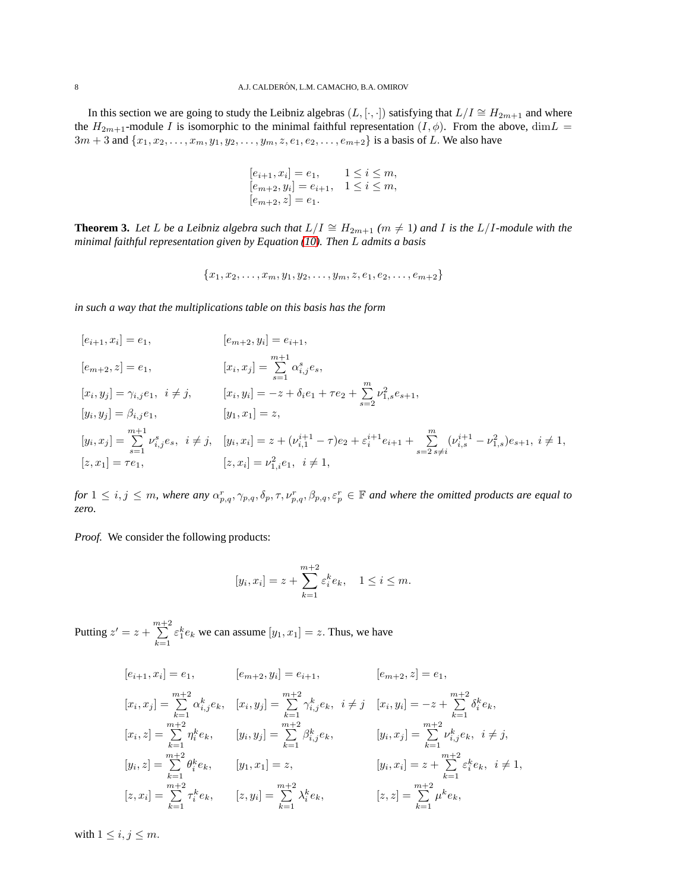In this section we are going to study the Leibniz algebras  $(L, [\cdot, \cdot])$  satisfying that  $L/I \cong H_{2m+1}$  and where the  $H_{2m+1}$ -module I is isomorphic to the minimal faithful representation  $(I, \phi)$ . From the above, dim $L =$  $3m + 3$  and  $\{x_1, x_2, \ldots, x_m, y_1, y_2, \ldots, y_m, z, e_1, e_2, \ldots, e_{m+2}\}$  is a basis of L. We also have

$$
[e_{i+1}, x_i] = e_1, \t 1 \le i \le m,[e_{m+2}, y_i] = e_{i+1}, \t 1 \le i \le m,[e_{m+2}, z] = e_1.
$$

**Theorem 3.** Let L be a Leibniz algebra such that  $L/I \cong H_{2m+1}$   $(m \neq 1)$  and I is the  $L/I$ *-module with the minimal faithful representation given by Equation [\(10\)](#page-6-1). Then* L *admits a basis*

$$
\{x_1, x_2, \ldots, x_m, y_1, y_2, \ldots, y_m, z, e_1, e_2, \ldots, e_{m+2}\}\
$$

*in such a way that the multiplications table on this basis has the form*

$$
[e_{i+1}, x_i] = e_1,
$$
  
\n
$$
[e_{m+2}, y_i] = e_{i+1},
$$
  
\n
$$
[e_{m+2}, z] = e_1,
$$
  
\n
$$
[x_i, y_j] = \gamma_{i,j} e_1, \quad i \neq j,
$$
  
\n
$$
[x_i, y_i] = -z + \delta_i e_1 + \tau e_2 + \sum_{s=2}^m \nu_{1,s}^2 e_{s+1},
$$
  
\n
$$
[y_i, y_j] = \beta_{i,j} e_1,
$$
  
\n
$$
[y_1, x_1] = z,
$$
  
\n
$$
[y_1, x_1] = z,
$$
  
\n
$$
[y_i, x_j] = \sum_{s=1}^{m+1} \nu_{i,j}^s e_s, \quad i \neq j, \quad [y_i, x_i] = z + (\nu_{i,1}^{i+1} - \tau) e_2 + \varepsilon_i^{i+1} e_{i+1} + \sum_{s=2}^m (\nu_{i,s}^{i+1} - \nu_{1,s}^2) e_{s+1}, \quad i \neq 1,
$$
  
\n
$$
[z, x_1] = \tau e_1,
$$
  
\n
$$
[z, x_i] = \nu_{1,i}^2 e_1, \quad i \neq 1,
$$

 $f \circ f$   $1 \le i,j \le m$ , where any  $\alpha_{p,q}^r, \gamma_{p,q}, \delta_p, \tau, \nu_{p,q}^r, \beta_{p,q}, \varepsilon_p^r \in \mathbb{F}$  and where the omitted products are equal to *zero.*

*Proof.* We consider the following products:

$$
[y_i, x_i] = z + \sum_{k=1}^{m+2} \varepsilon_i^k e_k, \quad 1 \le i \le m.
$$

Putting  $z' = z + \sum_{i=1}^{m+2}$  $k=1$  $\varepsilon_1^k e_k$  we can assume  $[y_1, x_1] = z$ . Thus, we have

$$
[e_{i+1}, x_i] = e_1, \t [e_{m+2}, y_i] = e_{i+1}, \t [e_{m+2}, z] = e_1,
$$
  
\n
$$
[x_i, x_j] = \sum_{k=1}^{m+2} \alpha_{i,j}^k e_k, \t [x_i, y_j] = \sum_{k=1}^{m+2} \gamma_{i,j}^k e_k, \t i \neq j \t [x_i, y_i] = -z + \sum_{k=1}^{m+2} \delta_i^k e_k,
$$
  
\n
$$
[x_i, z] = \sum_{k=1}^{m+2} \eta_i^k e_k, \t [y_i, y_j] = \sum_{k=1}^{m+2} \beta_{i,j}^k e_k, \t [y_i, x_j] = \sum_{k=1}^{m+2} \nu_{i,j}^k e_k, \t i \neq j,
$$
  
\n
$$
[y_i, z] = \sum_{k=1}^{m+2} \theta_i^k e_k, \t [y_1, x_1] = z, \t [y_i, x_i] = z + \sum_{k=1}^{m+2} \varepsilon_i^k e_k, \t i \neq 1,
$$
  
\n
$$
[z, x_i] = \sum_{k=1}^{m+2} \tau_i^k e_k, \t [z, y_i] = \sum_{k=1}^{m+2} \lambda_i^k e_k, \t [z, z] = \sum_{k=1}^{m+2} \mu^k e_k,
$$

with  $1 \leq i, j \leq m$ .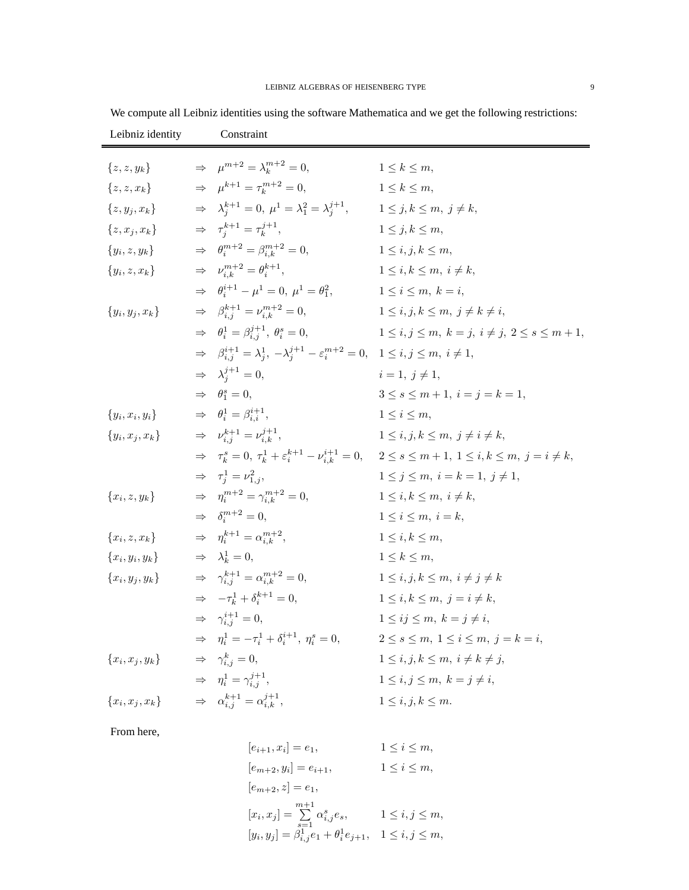| Leibniz identity  | Constraint                                                                                                                             |                                                                                                                                            |
|-------------------|----------------------------------------------------------------------------------------------------------------------------------------|--------------------------------------------------------------------------------------------------------------------------------------------|
| $\{z, z, y_k\}$   | $\Rightarrow \mu^{m+2} = \lambda_k^{m+2} = 0,$                                                                                         | $1 \leq k \leq m$ ,                                                                                                                        |
| $\{z, z, x_k\}$   | $\Rightarrow \mu^{k+1} = \tau_k^{m+2} = 0,$                                                                                            | $1 \leq k \leq m$ ,                                                                                                                        |
| $\{z,y_i,x_k\}$   | $\Rightarrow \lambda_i^{k+1} = 0, \ \mu^1 = \lambda_1^2 = \lambda_i^{j+1},$                                                            | $1 \leq j, k \leq m, j \neq k$                                                                                                             |
| $\{z, x_i, x_k\}$ | $\Rightarrow \tau_i^{k+1} = \tau_k^{j+1},$                                                                                             | $1 \leq i, k \leq m$ .                                                                                                                     |
| ${y_i, z, y_k}$   | $\Rightarrow \theta_i^{m+2} = \beta_{i,k}^{m+2} = 0,$                                                                                  | $1 \le i, j, k \le m$ ,                                                                                                                    |
| ${y_i, z, x_k}$   | $\Rightarrow \nu_{i,k}^{m+2} = \theta_i^{k+1},$                                                                                        | $1 \leq i, k \leq m, i \neq k$                                                                                                             |
|                   | $\Rightarrow \theta_i^{i+1} - \mu^1 = 0, \ \mu^1 = \theta_1^2,$                                                                        | $1 \leq i \leq m, k = i$                                                                                                                   |
|                   |                                                                                                                                        |                                                                                                                                            |
| ${y_i, y_j, x_k}$ | $\Rightarrow \beta_{i,i}^{k+1} = \nu_{i,k}^{m+2} = 0,$                                                                                 | $1 \leq i, j, k \leq m, j \neq k \neq i$                                                                                                   |
|                   | $\Rightarrow \theta_i^1 = \beta_{i,i}^{j+1}, \theta_i^s = 0,$                                                                          | $1 \le i, j \le m, k = j, i \ne j, 2 \le s \le m+1,$                                                                                       |
|                   | $\Rightarrow \quad \beta^{i+1}_{i.i}=\lambda^{1}_{i}, \ -\lambda^{j+1}_{i}-\varepsilon^{m+2}_{i}=0, \quad 1\leq i,j\leq m, \ i\neq 1,$ |                                                                                                                                            |
|                   | $\Rightarrow \lambda_i^{j+1} = 0,$                                                                                                     | $i=1, j\neq 1$ ,                                                                                                                           |
|                   | $\Rightarrow \theta_1^s = 0,$                                                                                                          | $3 \leq s \leq m+1, i = j = k = 1,$                                                                                                        |
| ${y_i, x_i, y_i}$ | $\Rightarrow \theta_i^1 = \beta_{i,i}^{i+1},$                                                                                          | $1 \leq i \leq m$                                                                                                                          |
| ${y_i, x_j, x_k}$ | $\Rightarrow \nu_{i,i}^{k+1} = \nu_{i,k}^{j+1},$                                                                                       | $1 \leq i, j, k \leq m, j \neq i \neq k,$                                                                                                  |
|                   |                                                                                                                                        | $\Rightarrow \tau_k^s = 0, \tau_k^1 + \varepsilon_i^{k+1} - \nu_{i,k}^{i+1} = 0, \quad 2 \le s \le m+1, \ 1 \le i,k \le m, \ j = i \ne k,$ |
|                   | $\Rightarrow \tau_i^1 = \nu_{1,i}^2$                                                                                                   | $1 \leq j \leq m, i = k = 1, j \neq 1,$                                                                                                    |
| ${x_i, z, y_k}$   | $\Rightarrow \eta_i^{m+2} = \gamma_{i,k}^{m+2} = 0,$                                                                                   | $1 \leq i, k \leq m, i \neq k$                                                                                                             |
|                   | $\Rightarrow \delta_i^{m+2} = 0,$                                                                                                      | $1 \leq i \leq m, i = k,$                                                                                                                  |
| ${x_i, z, x_k}$   | $\Rightarrow \eta_i^{k+1} = \alpha_{i,k}^{m+2},$                                                                                       | $1 \leq i, k \leq m$                                                                                                                       |
| ${x_i, y_i, y_k}$ | $\Rightarrow \lambda_k^1 = 0,$                                                                                                         | $1 \leq k \leq m$ ,                                                                                                                        |
| ${x_i, y_j, y_k}$ | $\Rightarrow \gamma_{i,i}^{k+1} = \alpha_{i,k}^{m+2} = 0,$                                                                             | $1 \leq i, j, k \leq m, i \neq j \neq k$                                                                                                   |
|                   | $\Rightarrow -\tau_k^1 + \delta_i^{k+1} = 0,$                                                                                          | $1 \leq i, k \leq m, \quad j = i \neq k,$                                                                                                  |
|                   | $\Rightarrow \gamma_{i,i}^{i+1} = 0,$                                                                                                  | $1 \leq ij \leq m, k = j \neq i$                                                                                                           |
|                   | $\Rightarrow \eta_i^1 = -\tau_i^1 + \delta_i^{i+1}, \eta_i^s = 0,$                                                                     | $2\leq s\leq m, 1\leq i\leq m, j=k=i,$                                                                                                     |
| ${x_i, x_j, y_k}$ | $\Rightarrow \gamma_{i,j}^k = 0,$                                                                                                      | $1 \leq i, j, k \leq m, i \neq k \neq j$                                                                                                   |
|                   | $\Rightarrow \eta_i^1 = \gamma_i^{j+1},$                                                                                               | $1 \leq i, j \leq m, k = j \neq i$                                                                                                         |
| ${x_i, x_j, x_k}$ | $\Rightarrow \alpha_{i,i}^{k+1} = \alpha_{i,k}^{j+1},$                                                                                 | $1 \leq i, j, k \leq m$ .                                                                                                                  |

We compute all Leibniz identities using the software Mathematica and we get the following restrictions:

From here,

$$
[e_{i+1}, x_i] = e_1, \t 1 \le i \le m,
$$
  
\n
$$
[e_{m+2}, y_i] = e_{i+1}, \t 1 \le i \le m,
$$
  
\n
$$
[e_{m+2}, z] = e_1,
$$
  
\n
$$
[x_i, x_j] = \sum_{s=1}^{m+1} \alpha_{i,j}^s e_s, \t 1 \le i, j \le m,
$$
  
\n
$$
[y_i, y_j] = \beta_{i,j}^1 e_1 + \theta_i^1 e_{j+1}, \t 1 \le i, j \le m,
$$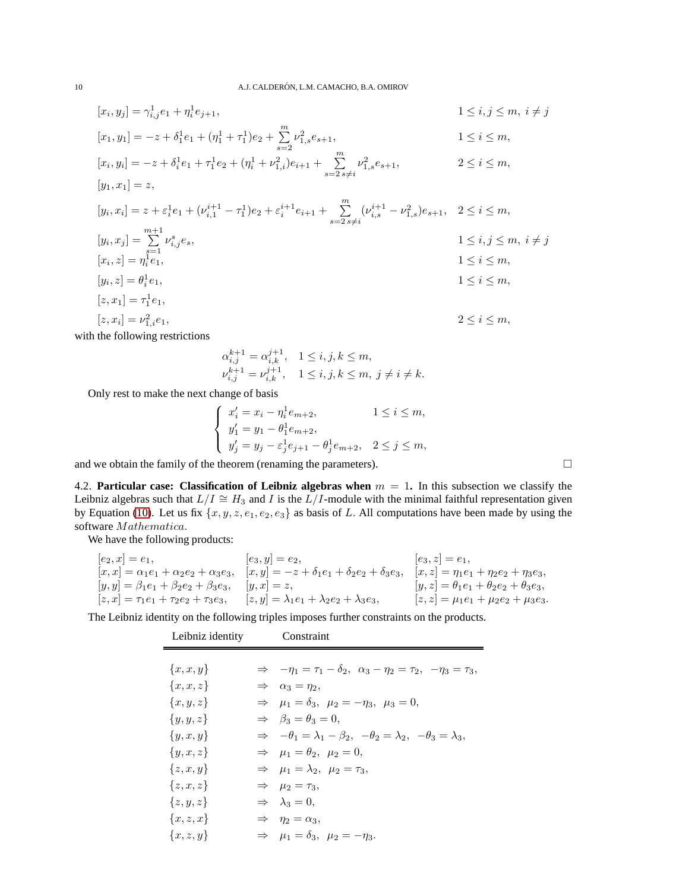$$
[x_i, y_j] = \gamma_{i,j}^1 e_1 + \eta_i^1 e_{j+1},
$$
  

$$
1 \le i, j \le m, i \ne j
$$

$$
[x_1, y_1] = -z + \delta_1^1 e_1 + (\eta_1^1 + \tau_1^1) e_2 + \sum_{s=2}^{m} \nu_{1,s}^2 e_{s+1},
$$
  
1 \le i \le m,

$$
[x_i, y_i] = -z + \delta_i^1 e_1 + \tau_1^1 e_2 + (\eta_i^1 + \nu_{1,i}^2) e_{i+1} + \sum_{s=2}^m \nu_{1,s}^2 e_{s+1},
$$
  
\n
$$
2 \le i \le m,
$$
  
\n
$$
[y_1, x_1] = z,
$$

$$
[y_i, x_i] = z + \varepsilon_i^1 e_1 + (\nu_{i,1}^{i+1} - \tau_1^1) e_2 + \varepsilon_i^{i+1} e_{i+1} + \sum_{s=2 \ s \neq i}^m (\nu_{i,s}^{i+1} - \nu_{1,s}^2) e_{s+1}, \quad 2 \le i \le m,
$$
  
\n
$$
[y_i, x_j] = \sum_{s=1}^{m+1} \nu_{i,j}^s e_s,
$$
  
\n
$$
[x_i, z] = \eta_i^1 e_1,
$$
  
\n
$$
[y_i, z] = \theta_i^1 e_1,
$$
  
\n
$$
[z, x_1] = \tau_1^1 e_1,
$$
  
\n
$$
[z, x_1] = \tau_1^1 e_1,
$$
  
\n
$$
[z, x_2] = \tau_1^1 e_1,
$$
  
\n
$$
[z, x_1] = \tau_1^1 e_1,
$$

$$
[z, x_i] = \nu_{1,i}^2 e_1,
$$
\n
$$
2 \le i \le m,
$$

with the following restrictions

$$
\begin{array}{ll}\alpha_{i,j}^{k+1}=\alpha_{i,k}^{j+1}, & 1\leq i,j,k\leq m,\\ \nu_{i,j}^{k+1}=\nu_{i,k}^{j+1}, & 1\leq i,j,k\leq m,~j\neq i\neq k.\end{array}
$$

Only rest to make the next change of basis

$$
\begin{cases}\nx'_i = x_i - \eta_i^1 e_{m+2}, & 1 \le i \le m, \\
y'_1 = y_1 - \theta_1^1 e_{m+2}, & \\
y'_j = y_j - \varepsilon_j^1 e_{j+1} - \theta_j^1 e_{m+2}, & 2 \le j \le m,\n\end{cases}
$$

and we obtain the family of the theorem (renaming the parameters).  $\Box$ 

4.2. **Particular case: Classification of Leibniz algebras when** m = 1**.** In this subsection we classify the Leibniz algebras such that  $L/I \cong H_3$  and I is the  $L/I$ -module with the minimal faithful representation given by Equation [\(10\)](#page-6-1). Let us fix  $\{x, y, z, e_1, e_2, e_3\}$  as basis of L. All computations have been made by using the software Mathematica.

We have the following products:

| $[e_2, x] = e_1,$                                      | $[e_3, y] = e_2,$                                           | $[e_3, z] = e_1,$                                      |
|--------------------------------------------------------|-------------------------------------------------------------|--------------------------------------------------------|
| $[x, x] = \alpha_1 e_1 + \alpha_2 e_2 + \alpha_3 e_3,$ | $[x, y] = -z + \delta_1 e_1 + \delta_2 e_2 + \delta_3 e_3,$ | $[x, z] = \eta_1 e_1 + \eta_2 e_2 + \eta_3 e_3,$       |
| $[y, y] = \beta_1 e_1 + \beta_2 e_2 + \beta_3 e_3,$    | $ y, x  = z$ ,                                              | $[y, z] = \theta_1 e_1 + \theta_2 e_2 + \theta_3 e_3,$ |
| $[z, x] = \tau_1 e_1 + \tau_2 e_2 + \tau_3 e_3,$       | $[z, y] = \lambda_1 e_1 + \lambda_2 e_2 + \lambda_3 e_3,$   | $[z, z] = \mu_1 e_1 + \mu_2 e_2 + \mu_3 e_3.$          |

The Leibniz identity on the following triples imposes further constraints on the products.

| Leibniz identity | Constraint                                                                                   |
|------------------|----------------------------------------------------------------------------------------------|
|                  |                                                                                              |
| $\{x, x, y\}$    | $\Rightarrow -\eta_1 = \tau_1 - \delta_2, \ \alpha_3 - \eta_2 = \tau_2, \ -\eta_3 = \tau_3,$ |
| $\{x,x,z\}$      | $\Rightarrow \alpha_3 = \eta_2,$                                                             |
| ${x,y,z}$        | $\Rightarrow \mu_1 = \delta_3, \ \mu_2 = -\eta_3, \ \mu_3 = 0,$                              |
| $\{y,y,z\}$      | $\Rightarrow \quad \beta_3 = \theta_3 = 0.$                                                  |
| $\{y,x,y\}$      | $\Rightarrow -\theta_1 = \lambda_1 - \beta_2, -\theta_2 = \lambda_2, -\theta_3 = \lambda_3.$ |
| $\{y,x,z\}$      | $\Rightarrow$ $\mu_1 = \theta_2, \ \mu_2 = 0,$                                               |
| $\{z, x, y\}$    | $\Rightarrow$ $\mu_1 = \lambda_2, \ \mu_2 = \tau_3,$                                         |
| ${z, x, z}$      | $\Rightarrow$ $\mu_2 = \tau_3$ ,                                                             |
| ${z,y,z}$        | $\Rightarrow \lambda_3 = 0,$                                                                 |
| ${x, z, x}$      | $\Rightarrow \eta_2 = \alpha_3,$                                                             |
| ${x, z, y}$      | $\Rightarrow$ $\mu_1 = \delta_3, \ \mu_2 = -\eta_3.$                                         |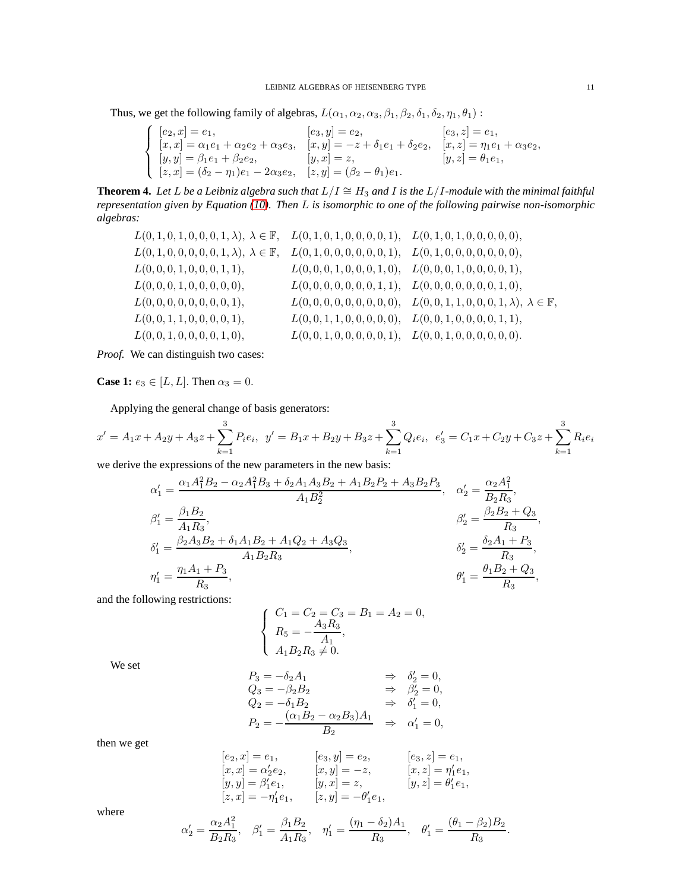Thus, we get the following family of algebras,  $L(\alpha_1, \alpha_2, \alpha_3, \beta_1, \beta_2, \delta_1, \delta_2, \eta_1, \theta_1)$ :

$$
\begin{cases}\n[e_2, x] = e_1, & [e_3, y] = e_2, & [e_3, z] = e_1, \\
[x, x] = \alpha_1 e_1 + \alpha_2 e_2 + \alpha_3 e_3, & [x, y] = -z + \delta_1 e_1 + \delta_2 e_2, & [x, z] = \eta_1 e_1 + \alpha_3 e_2, \\
[y, y] = \beta_1 e_1 + \beta_2 e_2, & [y, x] = z, & [y, z] = \theta_1 e_1, \\
[z, x] = (\delta_2 - \eta_1) e_1 - 2\alpha_3 e_2, & [z, y] = (\beta_2 - \theta_1) e_1.\n\end{cases}
$$

**Theorem 4.** *Let* L *be a Leibniz algebra such that*  $L/I \cong H_3$  *and* I *is the* L/I-module with the minimal faithful *representation given by Equation [\(10\)](#page-6-1). Then* L *is isomorphic to one of the following pairwise non-isomorphic algebras:*

L(0, 1, 0, 1, 0, 0, 0, 1, λ), λ ∈ F, L(0, 1, 0, 1, 0, 0, 0, 0, 1), L(0, 1, 0, 1, 0, 0, 0, 0, 0), L(0, 1, 0, 0, 0, 0, 0, 1, λ), λ ∈ F, L(0, 1, 0, 0, 0, 0, 0, 0, 1), L(0, 1, 0, 0, 0, 0, 0, 0, 0), L(0, 0, 0, 1, 0, 0, 0, 1, 1), L(0, 0, 0, 1, 0, 0, 0, 1, 0), L(0, 0, 0, 1, 0, 0, 0, 0, 1), L(0, 0, 0, 1, 0, 0, 0, 0, 0), L(0, 0, 0, 0, 0, 0, 0, 1, 1), L(0, 0, 0, 0, 0, 0, 0, 1, 0), L(0, 0, 0, 0, 0, 0, 0, 0, 1), L(0, 0, 0, 0, 0, 0, 0, 0, 0), L(0, 0, 1, 1, 0, 0, 0, 1, λ), λ ∈ F, L(0, 0, 1, 1, 0, 0, 0, 0, 1), L(0, 0, 1, 1, 0, 0, 0, 0, 0), L(0, 0, 1, 0, 0, 0, 0, 1, 1), L(0, 0, 1, 0, 0, 0, 0, 1, 0), L(0, 0, 1, 0, 0, 0, 0, 0, 1), L(0, 0, 1, 0, 0, 0, 0, 0, 0).

*Proof.* We can distinguish two cases:

**Case 1:**  $e_3 \in [L, L]$ . Then  $\alpha_3 = 0$ .

Applying the general change of basis generators:

$$
x' = A_1x + A_2y + A_3z + \sum_{k=1}^{3} P_i e_i, \ \ y' = B_1x + B_2y + B_3z + \sum_{k=1}^{3} Q_i e_i, \ \ e'_3 = C_1x + C_2y + C_3z + \sum_{k=1}^{3} R_i e_i
$$

we derive the expressions of the new parameters in the new basis:

$$
\alpha'_{1} = \frac{\alpha_{1}A_{1}^{2}B_{2} - \alpha_{2}A_{1}^{2}B_{3} + \delta_{2}A_{1}A_{3}B_{2} + A_{1}B_{2}P_{2} + A_{3}B_{2}P_{3}}{A_{1}B_{2}^{2}}, \quad \alpha'_{2} = \frac{\alpha_{2}A_{1}^{2}}{B_{2}R_{3}},
$$
  
\n
$$
\beta'_{1} = \frac{\beta_{1}B_{2}}{A_{1}R_{3}},
$$
  
\n
$$
\beta'_{1} = \frac{\beta_{2}A_{3}B_{2} + \delta_{1}A_{1}B_{2} + A_{1}Q_{2} + A_{3}Q_{3}}{A_{1}B_{2}R_{3}},
$$
  
\n
$$
\beta'_{2} = \frac{\delta_{2}A_{1} + P_{3}}{R_{3}},
$$
  
\n
$$
\beta'_{1} = \frac{\theta_{1}B_{2} + Q_{3}}{R_{3}},
$$
  
\n
$$
\beta'_{1} = \frac{\theta_{1}B_{2} + Q_{3}}{R_{3}},
$$

and the following restrictions:

$$
\begin{cases}\nC_1 = C_2 = C_3 = B_1 = A_2 = 0, \\
R_5 = -\frac{A_3 R_3}{A_1}, \\
A_1 B_2 R_3 \neq 0.\n\end{cases}
$$

We set

$$
P_3 = -\delta_2 A_1 \qquad \Rightarrow \delta'_2 = 0,
$$
  
\n
$$
Q_3 = -\beta_2 B_2 \qquad \Rightarrow \beta'_2 = 0,
$$
  
\n
$$
Q_2 = -\delta_1 B_2 \qquad \Rightarrow \delta'_1 = 0,
$$
  
\n
$$
P_2 = -\frac{(\alpha_1 B_2 - \alpha_2 B_3)A_1}{B_2} \qquad \Rightarrow \alpha'_1 = 0,
$$

then we get

$$
\begin{array}{llll} [e_2,x]=e_1, & [e_3,y]=e_2, & [e_3,z]=e_1,\\ [x,x]=\alpha_2'e_2, & [x,y]=-z, & [x,z]=\eta_1'e_1,\\ [y,y]=\beta_1'e_1, & [y,x]=z, & [y,z]=\theta_1'e_1,\\ [z,x]=- \eta_1'e_1, & [z,y]=- \theta_1'e_1, \end{array}
$$

where

$$
\alpha'_2 = \frac{\alpha_2 A_1^2}{B_2 R_3}, \quad \beta'_1 = \frac{\beta_1 B_2}{A_1 R_3}, \quad \eta'_1 = \frac{(\eta_1 - \delta_2) A_1}{R_3}, \quad \theta'_1 = \frac{(\theta_1 - \beta_2) B_2}{R_3}.
$$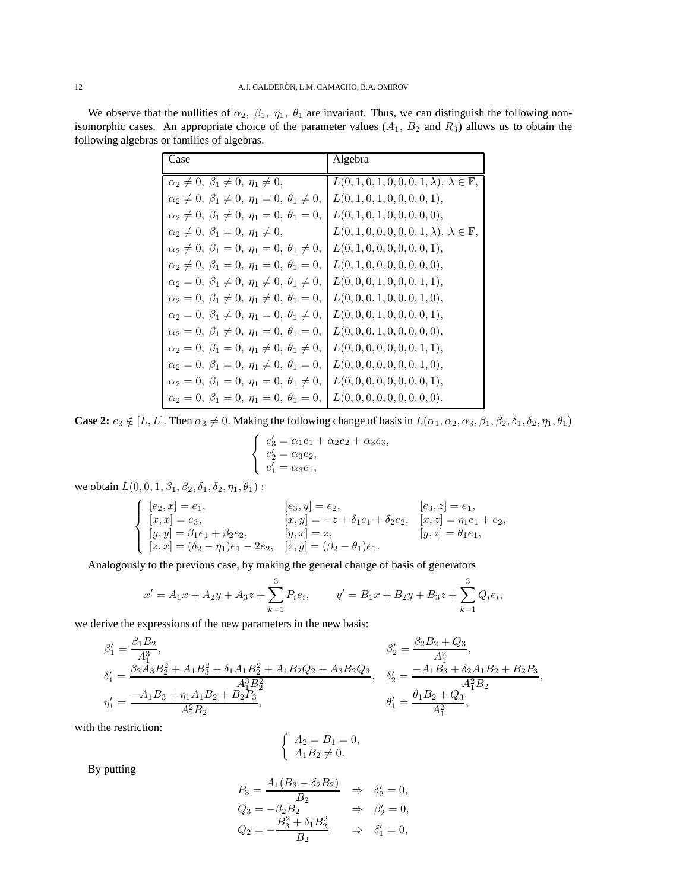We observe that the nullities of  $\alpha_2$ ,  $\beta_1$ ,  $\eta_1$ ,  $\theta_1$  are invariant. Thus, we can distinguish the following nonisomorphic cases. An appropriate choice of the parameter values  $(A_1, B_2 \text{ and } R_3)$  allows us to obtain the following algebras or families of algebras.

| Case                                                                  | Algebra                                                        |
|-----------------------------------------------------------------------|----------------------------------------------------------------|
| $\alpha_2 \neq 0, \ \beta_1 \neq 0, \ \eta_1 \neq 0,$                 | $L(0, 1, 0, 1, 0, 0, 0, 1, \lambda), \lambda \in \mathbb{F}$ , |
| $\alpha_2 \neq 0, \ \beta_1 \neq 0, \ \eta_1 = 0, \ \theta_1 \neq 0,$ | L(0, 1, 0, 1, 0, 0, 0, 0, 1),                                  |
| $\alpha_2 \neq 0, \ \beta_1 \neq 0, \ \eta_1 = 0, \ \theta_1 = 0,$    | L(0, 1, 0, 1, 0, 0, 0, 0, 0),                                  |
| $\alpha_2 \neq 0, \ \beta_1 = 0, \ \eta_1 \neq 0,$                    | $L(0, 1, 0, 0, 0, 0, 0, 1, \lambda), \lambda \in \mathbb{F}$ , |
| $\alpha_2 \neq 0, \ \beta_1 = 0, \ \eta_1 = 0, \ \theta_1 \neq 0,$    | L(0, 1, 0, 0, 0, 0, 0, 0, 1),                                  |
| $\alpha_2 \neq 0, \ \beta_1 = 0, \ \eta_1 = 0, \ \theta_1 = 0,$       | L(0, 1, 0, 0, 0, 0, 0, 0, 0),                                  |
| $\alpha_2 = 0, \ \beta_1 \neq 0, \ \eta_1 \neq 0, \ \theta_1 \neq 0,$ | L(0,0,0,1,0,0,0,1,1),                                          |
| $\alpha_2 = 0, \ \beta_1 \neq 0, \ \eta_1 \neq 0, \ \theta_1 = 0,$    | L(0, 0, 0, 1, 0, 0, 0, 1, 0),                                  |
| $\alpha_2 = 0, \ \beta_1 \neq 0, \ \eta_1 = 0, \ \theta_1 \neq 0,$    | L(0, 0, 0, 1, 0, 0, 0, 0, 1),                                  |
| $\alpha_2 = 0, \ \beta_1 \neq 0, \ \eta_1 = 0, \ \theta_1 = 0,$       | L(0, 0, 0, 1, 0, 0, 0, 0, 0),                                  |
| $\alpha_2 = 0, \ \beta_1 = 0, \ \eta_1 \neq 0, \ \theta_1 \neq 0,$    | L(0, 0, 0, 0, 0, 0, 0, 1, 1),                                  |
| $\alpha_2 = 0, \ \beta_1 = 0, \ \eta_1 \neq 0, \ \theta_1 = 0,$       | L(0, 0, 0, 0, 0, 0, 0, 1, 0),                                  |
| $\alpha_2 = 0, \ \beta_1 = 0, \ \eta_1 = 0, \ \theta_1 \neq 0,$       | L(0, 0, 0, 0, 0, 0, 0, 0, 1),                                  |
| $\alpha_2 = 0, \ \beta_1 = 0, \ \eta_1 = 0, \ \theta_1 = 0,$          | L(0, 0, 0, 0, 0, 0, 0, 0, 0).                                  |

**Case 2:**  $e_3 \notin [L, L]$ . Then  $\alpha_3 \neq 0$ . Making the following change of basis in  $L(\alpha_1, \alpha_2, \alpha_3, \beta_1, \beta_2, \delta_1, \delta_2, \eta_1, \theta_1)$ 

$$
\begin{cases}\ne'_{3} = \alpha_{1}e_{1} + \alpha_{2}e_{2} + \alpha_{3}e_{3}, \\
e'_{2} = \alpha_{3}e_{2}, \\
e'_{1} = \alpha_{3}e_{1},\n\end{cases}
$$

we obtain  $L(0, 0, 1, \beta_1, \beta_2, \delta_1, \delta_2, \eta_1, \theta_1)$ :

$$
\begin{cases}\n[e_2, x] = e_1, & [e_3, y] = e_2, & [e_3, z] = e_1, \\
[x, x] = e_3, & [x, y] = -z + \delta_1 e_1 + \delta_2 e_2, & [x, z] = \eta_1 e_1 + e_2, \\
[y, y] = \beta_1 e_1 + \beta_2 e_2, & [y, x] = z, & [y, z] = \theta_1 e_1, \\
[z, x] = (\delta_2 - \eta_1) e_1 - 2e_2, & [z, y] = (\beta_2 - \theta_1) e_1.\n\end{cases}
$$

Analogously to the previous case, by making the general change of basis of generators

$$
x' = A_1x + A_2y + A_3z + \sum_{k=1}^{3} P_i e_i, \qquad y' = B_1x + B_2y + B_3z + \sum_{k=1}^{3} Q_i e_i,
$$

we derive the expressions of the new parameters in the new basis:

$$
\begin{aligned} \beta_1' &= \frac{\beta_1 B_2}{A_1^3}, & \beta_2' &= \frac{\beta_2 B_2 + Q_3}{A_1^2}, \\ \delta_1' &= \frac{\beta_2 A_3 B_2^2 + A_1 B_3^2 + \delta_1 A_1 B_2^2 + A_1 B_2 Q_2 + A_3 B_2 Q_3}{A_1^3 B_2^2}, & \delta_2' &= \frac{-A_1 B_3 + \delta_2 A_1 B_2 + B_2 P_3}{A_1^2 B_2}, \\ \eta_1' &= \frac{-A_1 B_3 + \eta_1 A_1 B_2 + B_2 P_3}{A_1^2 B_2}, & \theta_1' &= \frac{\theta_1 B_2 + Q_3}{A_1^2}, \end{aligned}
$$

with the restriction:

$$
\begin{cases}\nA_2 = B_1 = 0, \\
A_1 B_2 \neq 0.\n\end{cases}
$$

By putting

$$
P_3 = \frac{A_1(B_3 - \delta_2 B_2)}{B_2} \Rightarrow \delta'_2 = 0,
$$
  
\n
$$
Q_3 = -\beta_2 B_2 \Rightarrow \beta'_2 = 0,
$$
  
\n
$$
Q_2 = -\frac{B_3^2 + \delta_1 B_2^2}{B_2} \Rightarrow \delta'_1 = 0,
$$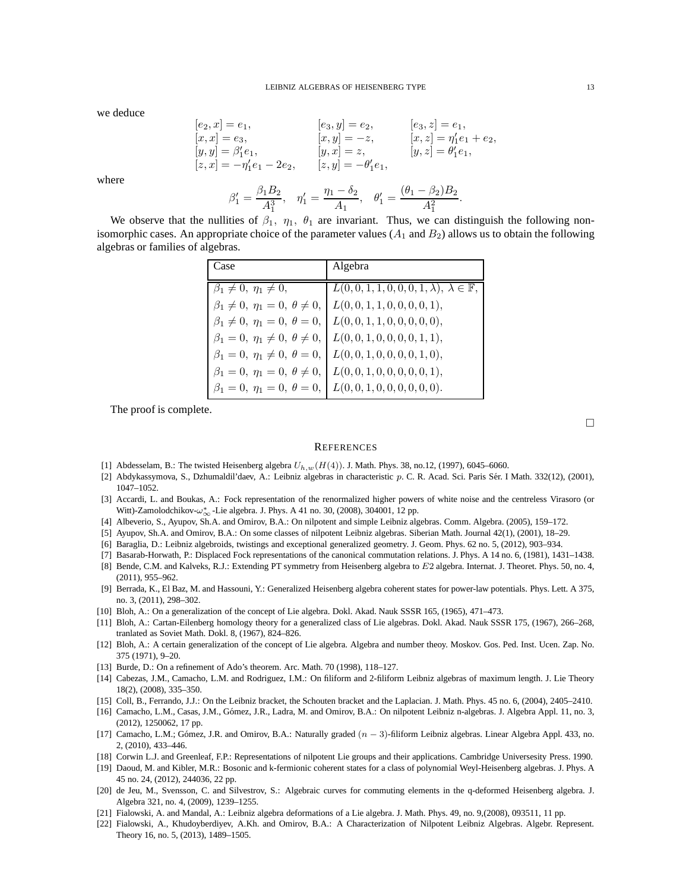we deduce

$$
[e_2, x] = e_1,
$$
  
\n
$$
[x, x] = e_3,
$$
  
\n
$$
[x, y] = -z,
$$
  
\n
$$
[x, y] = -z,
$$
  
\n
$$
[x, y] = -z,
$$
  
\n
$$
[x, z] = \eta'_1 e_1 + e_2,
$$
  
\n
$$
[y, y] = \beta'_1 e_1,
$$
  
\n
$$
[y, x] = z,
$$
  
\n
$$
[y, z] = \theta'_1 e_1,
$$
  
\n
$$
\beta'_1 = \frac{\beta_1 B_2}{A_1^3}, \quad \eta'_1 = \frac{\eta_1 - \delta_2}{A_1}, \quad \theta'_1 = \frac{(\theta_1 - \beta_2)B_2}{A_1^2}.
$$
  
\nthe nullities of  $\beta_1$ ,  $\eta_1$ ,  $\theta_1$  are invariant. Thus, we can distinguish

where

We observe that the nullities of  $\beta_1$ ,  $\eta_1$ ,  $\theta_1$  are invariant. Thus, we can distinguish the following nonisomorphic cases. An appropriate choice of the parameter values  $(A_1 \text{ and } B_2)$  allows us to obtain the following algebras or families of algebras.

| Case                                         | Algebra                                               |
|----------------------------------------------|-------------------------------------------------------|
| $\beta_1 \neq 0, \eta_1 \neq 0,$             | $L(0,0,1,1,0,0,0,1,\lambda), \lambda \in \mathbb{F},$ |
| $\beta_1 \neq 0, \eta_1 = 0, \theta \neq 0,$ | L(0,0,1,1,0,0,0,0,1),                                 |
| $\beta_1 \neq 0, \eta_1 = 0, \theta = 0,$    | L(0,0,1,1,0,0,0,0,0),                                 |
| $\beta_1 = 0, \eta_1 \neq 0, \theta \neq 0,$ | $\mid L(0,0,1,0,0,0,0,1,1),\$                         |
| $\beta_1 = 0, \eta_1 \neq 0, \theta = 0,$    | L(0,0,1,0,0,0,0,1,0),                                 |
| $\beta_1 = 0, \eta_1 = 0, \theta \neq 0,$    | L(0,0,1,0,0,0,0,0,1),                                 |
| $\beta_1 = 0, \eta_1 = 0, \theta = 0,$       | L(0,0,1,0,0,0,0,0,0).                                 |

The proof is complete.

#### **REFERENCES**

- <span id="page-12-13"></span><span id="page-12-3"></span>[1] Abdesselam, B.: The twisted Heisenberg algebra  $U_{h,w}(H(4))$ . J. Math. Phys. 38, no.12, (1997), 6045–6060.
- [2] Abdykassymova, S., Dzhumaldil'daev, A.: Leibniz algebras in characteristic p. C. R. Acad. Sci. Paris S´er. I Math. 332(12), (2001), 1047–1052.
- <span id="page-12-18"></span>[3] Accardi, L. and Boukas, A.: Fock representation of the renormalized higher powers of white noise and the centreless Virasoro (or Witt)-Zamolodchikov- $\omega_{\infty}^*$ -Lie algebra. J. Phys. A 41 no. 30, (2008), 304001, 12 pp.
- <span id="page-12-12"></span><span id="page-12-4"></span>[4] Albeverio, S., Ayupov, Sh.A. and Omirov, B.A.: On nilpotent and simple Leibniz algebras. Comm. Algebra. (2005), 159–172.
- <span id="page-12-5"></span>[5] Ayupov, Sh.A. and Omirov, B.A.: On some classes of nilpotent Leibniz algebras. Siberian Math. Journal 42(1), (2001), 18–29.
- <span id="page-12-19"></span>[6] Baraglia, D.: Leibniz algebroids, twistings and exceptional generalized geometry. J. Geom. Phys. 62 no. 5, (2012), 903–934.
- <span id="page-12-14"></span>[7] Basarab-Horwath, P.: Displaced Fock representations of the canonical commutation relations. J. Phys. A 14 no. 6, (1981), 1431–1438.
- [8] Bende, C.M. and Kalveks, R.J.: Extending PT symmetry from Heisenberg algebra to E2 algebra. Internat. J. Theoret. Phys. 50, no. 4, (2011), 955–962.
- <span id="page-12-15"></span>[9] Berrada, K., El Baz, M. and Hassouni, Y.: Generalized Heisenberg algebra coherent states for power-law potentials. Phys. Lett. A 375, no. 3, (2011), 298–302.
- <span id="page-12-1"></span><span id="page-12-0"></span>[10] Bloh, A.: On a generalization of the concept of Lie algebra. Dokl. Akad. Nauk SSSR 165, (1965), 471–473.
- [11] Bloh, A.: Cartan-Eilenberg homology theory for a generalized class of Lie algebras. Dokl. Akad. Nauk SSSR 175, (1967), 266–268, tranlated as Soviet Math. Dokl. 8, (1967), 824–826.
- <span id="page-12-2"></span>[12] Bloh, A.: A certain generalization of the concept of Lie algebra. Algebra and number theoy. Moskov. Gos. Ped. Inst. Ucen. Zap. No. 375 (1971), 9–20.
- <span id="page-12-20"></span><span id="page-12-6"></span>[13] Burde, D.: On a refinement of Ado's theorem. Arc. Math. 70 (1998), 118-127.
- [14] Cabezas, J.M., Camacho, L.M. and Rodriguez, I.M.: On filiform and 2-filiform Leibniz algebras of maximum length. J. Lie Theory 18(2), (2008), 335–350.
- <span id="page-12-8"></span><span id="page-12-7"></span>[15] Coll, B., Ferrando, J.J.: On the Leibniz bracket, the Schouten bracket and the Laplacian. J. Math. Phys. 45 no. 6, (2004), 2405–2410.
- [16] Camacho, L.M., Casas, J.M., Gómez, J.R., Ladra, M. and Omirov, B.A.: On nilpotent Leibniz n-algebras. J. Algebra Appl. 11, no. 3, (2012), 1250062, 17 pp.
- <span id="page-12-9"></span>[17] Camacho, L.M.; Gómez, J.R. and Omirov, B.A.: Naturally graded ( $n-3$ )-filiform Leibniz algebras. Linear Algebra Appl. 433, no. 2, (2010), 433–446.
- <span id="page-12-21"></span><span id="page-12-16"></span>[18] Corwin L.J. and Greenleaf, F.P.: Representations of nilpotent Lie groups and their applications. Cambridge Universesity Press. 1990.
- [19] Daoud, M. and Kibler, M.R.: Bosonic and k-fermionic coherent states for a class of polynomial Weyl-Heisenberg algebras. J. Phys. A 45 no. 24, (2012), 244036, 22 pp.
- <span id="page-12-17"></span>[20] de Jeu, M., Svensson, C. and Silvestrov, S.: Algebraic curves for commuting elements in the q-deformed Heisenberg algebra. J. Algebra 321, no. 4, (2009), 1239–1255.
- <span id="page-12-11"></span><span id="page-12-10"></span>[21] Fialowski, A. and Mandal, A.: Leibniz algebra deformations of a Lie algebra. J. Math. Phys. 49, no. 9,(2008), 093511, 11 pp.
- [22] Fialowski, A., Khudoyberdiyev, A.Kh. and Omirov, B.A.: A Characterization of Nilpotent Leibniz Algebras. Algebr. Represent. Theory 16, no. 5, (2013), 1489–1505.

 $\Box$